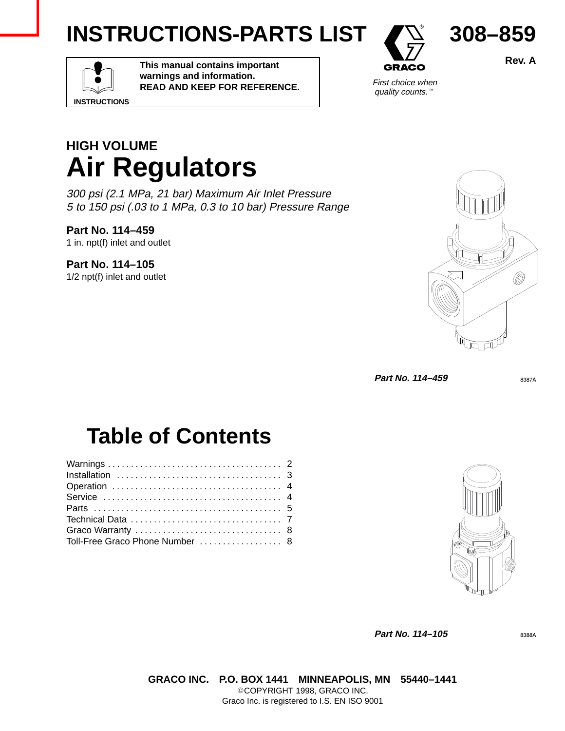# **INSTRUCTIONS-PARTS LIST**



**Rev. A**

**308–859**

**INSTRUCTIONS**

**This manual contains important warnings and information. READ AND KEEP FOR REFERENCE.**



First choice when quality counts.<sup>™</sup>

## **HIGH VOLUME Air Regulators**

300 psi (2.1 MPa, 21 bar) Maximum Air Inlet Pressure 5 to 150 psi (.03 to 1 MPa, 0.3 to 10 bar) Pressure Range

### **Part No. 114–459**

1 in. npt(f) inlet and outlet

### **Part No. 114–105**

1/2 npt(f) inlet and outlet



**Part No. 114–459**

8387A

# **Table of Contents**

| Toll-Free Graco Phone Number  8 |  |
|---------------------------------|--|



**Part No. 114–105**

8388A

**GRACO INC. P.O. BOX 1441 MINNEAPOLIS, MN 55440–1441** COPYRIGHT 1998, GRACO INC. Graco Inc. is registered to I.S. EN ISO 9001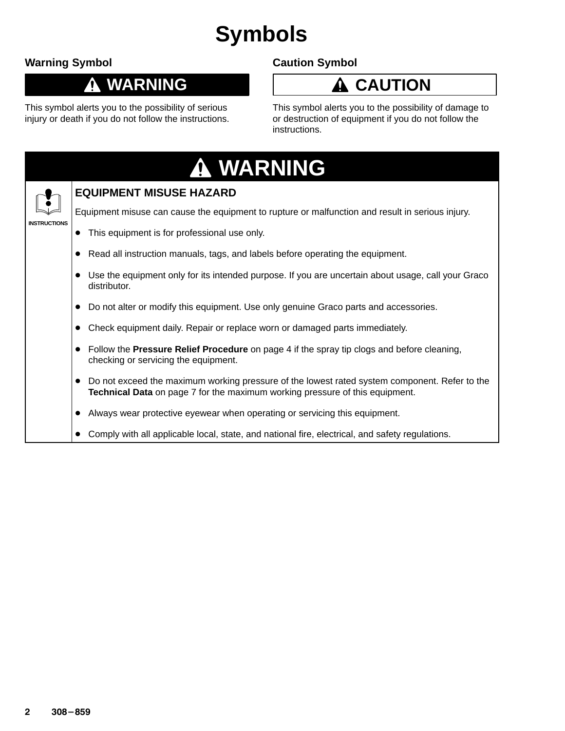# **Symbols**

### **Warning Symbol**

↑

### **WARNING**

This symbol alerts you to the possibility of serious injury or death if you do not follow the instructions.

### **Caution Symbol**



This symbol alerts you to the possibility of damage to or destruction of equipment if you do not follow the instructions.

| A WARNING           |                                                                                                                                                                                      |  |  |  |  |
|---------------------|--------------------------------------------------------------------------------------------------------------------------------------------------------------------------------------|--|--|--|--|
|                     | <b>EQUIPMENT MISUSE HAZARD</b>                                                                                                                                                       |  |  |  |  |
|                     | Equipment misuse can cause the equipment to rupture or malfunction and result in serious injury.                                                                                     |  |  |  |  |
| <b>INSTRUCTIONS</b> | This equipment is for professional use only.<br>$\bullet$                                                                                                                            |  |  |  |  |
|                     | Read all instruction manuals, tags, and labels before operating the equipment.                                                                                                       |  |  |  |  |
|                     | Use the equipment only for its intended purpose. If you are uncertain about usage, call your Graco<br>distributor.                                                                   |  |  |  |  |
|                     | Do not alter or modify this equipment. Use only genuine Graco parts and accessories.                                                                                                 |  |  |  |  |
|                     | Check equipment daily. Repair or replace worn or damaged parts immediately.                                                                                                          |  |  |  |  |
|                     | Follow the Pressure Relief Procedure on page 4 if the spray tip clogs and before cleaning,<br>checking or servicing the equipment.                                                   |  |  |  |  |
|                     | Do not exceed the maximum working pressure of the lowest rated system component. Refer to the<br><b>Technical Data</b> on page 7 for the maximum working pressure of this equipment. |  |  |  |  |
|                     | Always wear protective eyewear when operating or servicing this equipment.                                                                                                           |  |  |  |  |
|                     | Comply with all applicable local, state, and national fire, electrical, and safety regulations.                                                                                      |  |  |  |  |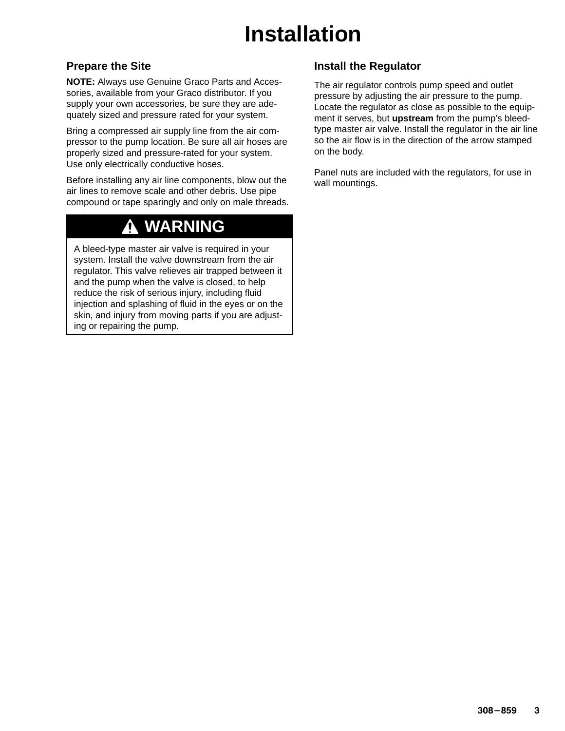# **Installation**

### **Prepare the Site**

**NOTE:** Always use Genuine Graco Parts and Accessories, available from your Graco distributor. If you supply your own accessories, be sure they are adequately sized and pressure rated for your system.

Bring a compressed air supply line from the air compressor to the pump location. Be sure all air hoses are properly sized and pressure-rated for your system. Use only electrically conductive hoses.

Before installing any air line components, blow out the air lines to remove scale and other debris. Use pipe compound or tape sparingly and only on male threads.

### **WARNING**

A bleed-type master air valve is required in your system. Install the valve downstream from the air regulator. This valve relieves air trapped between it and the pump when the valve is closed, to help reduce the risk of serious injury, including fluid injection and splashing of fluid in the eyes or on the skin, and injury from moving parts if you are adjusting or repairing the pump.

### **Install the Regulator**

The air regulator controls pump speed and outlet pressure by adjusting the air pressure to the pump. Locate the regulator as close as possible to the equipment it serves, but **upstream** from the pump's bleedtype master air valve. Install the regulator in the air line so the air flow is in the direction of the arrow stamped on the body.

Panel nuts are included with the regulators, for use in wall mountings.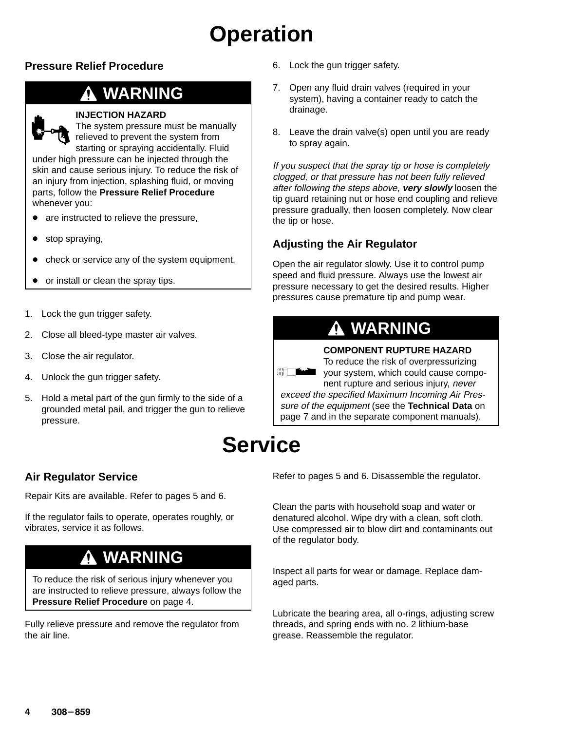# **Operation**

#### **Pressure Relief Procedure**

### **WARNING**

#### **INJECTION HAZARD**

The system pressure must be manually relieved to prevent the system from

starting or spraying accidentally. Fluid under high pressure can be injected through the skin and cause serious injury. To reduce the risk of an injury from injection, splashing fluid, or moving parts, follow the **Pressure Relief Procedure** whenever you:

- $\bullet$ are instructed to relieve the pressure,
- $\bullet$ stop spraying,
- $\bullet$ check or service any of the system equipment,
- $\bullet$ or install or clean the spray tips.
- 1. Lock the gun trigger safety.
- 2. Close all bleed-type master air valves.
- 3. Close the air regulator.
- 4. Unlock the gun trigger safety.
- 5. Hold a metal part of the gun firmly to the side of a grounded metal pail, and trigger the gun to relieve pressure.

## **Service**

#### **Air Regulator Service**

Repair Kits are available. Refer to pages 5 and 6.

If the regulator fails to operate, operates roughly, or vibrates, service it as follows.

### **WARNING**

To reduce the risk of serious injury whenever you are instructed to relieve pressure, always follow the **Pressure Relief Procedure** on page 4.

Fully relieve pressure and remove the regulator from the air line.

- 6. Lock the gun trigger safety.
- 7. Open any fluid drain valves (required in your system), having a container ready to catch the drainage.
- 8. Leave the drain valve(s) open until you are ready to spray again.

If you suspect that the spray tip or hose is completely clogged, or that pressure has not been fully relieved after following the steps above, **very slowly** loosen the tip guard retaining nut or hose end coupling and relieve pressure gradually, then loosen completely. Now clear the tip or hose.

### **Adjusting the Air Regulator**

Open the air regulator slowly. Use it to control pump speed and fluid pressure. Always use the lowest air pressure necessary to get the desired results. Higher pressures cause premature tip and pump wear.

## **WARNING**

**COMPONENT RUPTURE HAZARD**



### To reduce the risk of overpressurizing

**ERROR TANK** your system, which could cause component rupture and serious injury, never exceed the specified Maximum Incoming Air Pressure of the equipment (see the **Technical Data** on

page 7 and in the separate component manuals).

Refer to pages 5 and 6. Disassemble the regulator.

Clean the parts with household soap and water or denatured alcohol. Wipe dry with a clean, soft cloth. Use compressed air to blow dirt and contaminants out of the regulator body.

Inspect all parts for wear or damage. Replace damaged parts.

Lubricate the bearing area, all o-rings, adjusting screw threads, and spring ends with no. 2 lithium-base grease. Reassemble the regulator.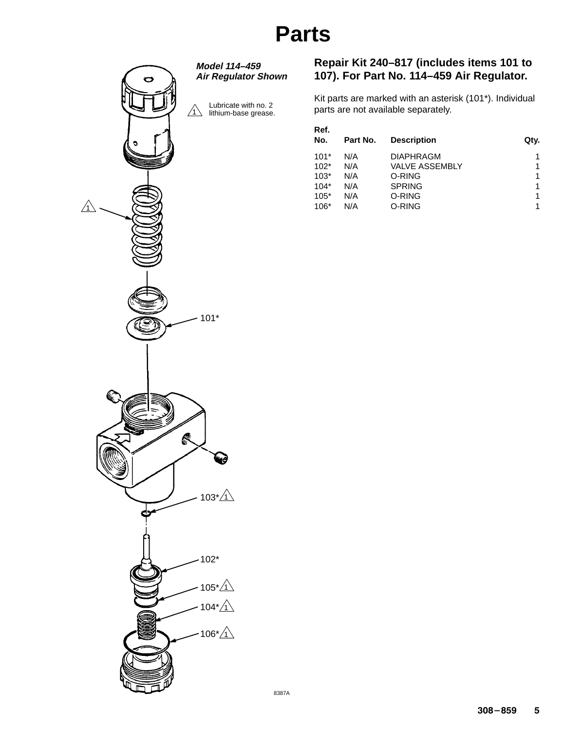## **Parts**



#### **Repair Kit 240–817 (includes items 101 to 107). For Part No. 114–459 Air Regulator.**

Kit parts are marked with an asterisk (101\*). Individual parts are not available separately.

| Ref.<br>No. | Part No. | <b>Description</b>    | Qty. |
|-------------|----------|-----------------------|------|
| $101*$      | N/A      | <b>DIAPHRAGM</b>      | 1    |
| $102*$      | N/A      | <b>VALVE ASSEMBLY</b> | 1    |
| $103*$      | N/A      | O-RING                | 1    |
| $104*$      | N/A      | <b>SPRING</b>         | 1    |
| $105*$      | N/A      | O-RING                | 1    |
| $106*$      | N/A      | O-RING                | 1    |

8387A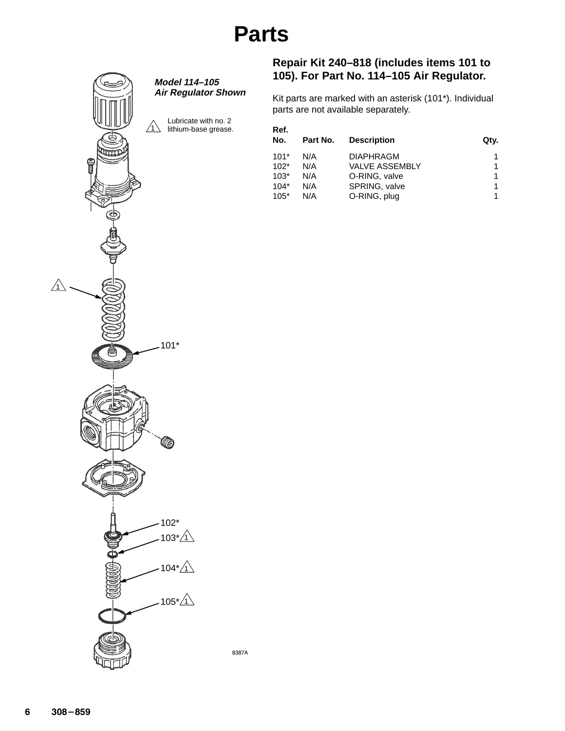# **Parts**



**Repair Kit 240–818 (includes items 101 to 105). For Part No. 114–105 Air Regulator.**

Kit parts are marked with an asterisk (101\*). Individual parts are not available separately.

| Ref.<br>No. | Part No. | <b>Description</b>    | Qty. |
|-------------|----------|-----------------------|------|
| $101*$      | N/A      | <b>DIAPHRAGM</b>      |      |
| $102*$      | N/A      | <b>VALVE ASSEMBLY</b> |      |
| $103*$      | N/A      | O-RING, valve         |      |
| $104*$      | N/A      | SPRING, valve         |      |
| $105*$      | N/A      | O-RING, plug          |      |
|             |          |                       |      |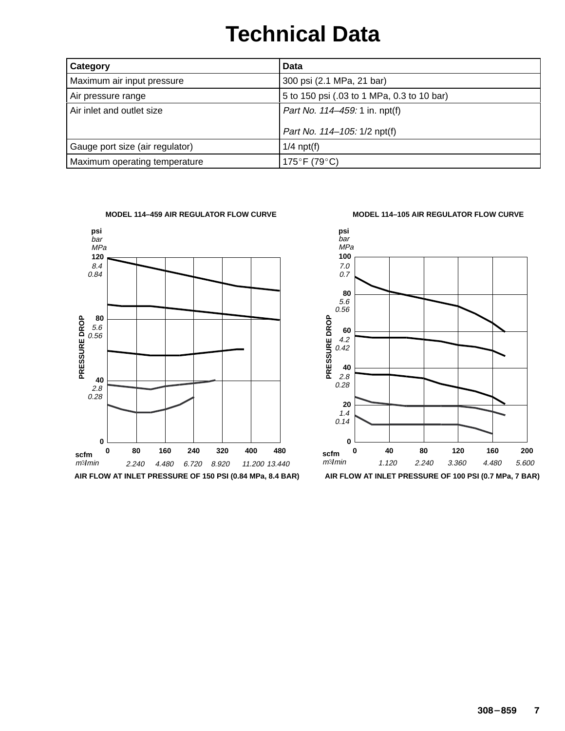# **Technical Data**

| Category                        | Data                                       |
|---------------------------------|--------------------------------------------|
| Maximum air input pressure      | 300 psi (2.1 MPa, 21 bar)                  |
| Air pressure range              | 5 to 150 psi (.03 to 1 MPa, 0.3 to 10 bar) |
| Air inlet and outlet size       | Part No. 114-459: 1 in. npt(f)             |
|                                 | Part No. 114-105: 1/2 npt(f)               |
| Gauge port size (air regulator) | $1/4$ npt(f)                               |
| Maximum operating temperature   | 175°F (79°C)                               |

**psi** bar MPa

**MODEL 114–459 AIR REGULATOR FLOW CURVE**



**0 20 40 60 80** 5.6 **100 0 40 80 120 160 200 scfm** <sup>m</sup>**/**min 1.120 4.480 5.600 **PRESSURE DROP** 7.0 0.7 0.56 4.2  $0.42$ 2.8 0.28 1.4 0.14 **AIR FLOW AT INLET PRESSURE OF 100 PSI (0.7 MPa, 7 BAR)** 2.240 3.360

**MODEL 114–105 AIR REGULATOR FLOW CURVE**